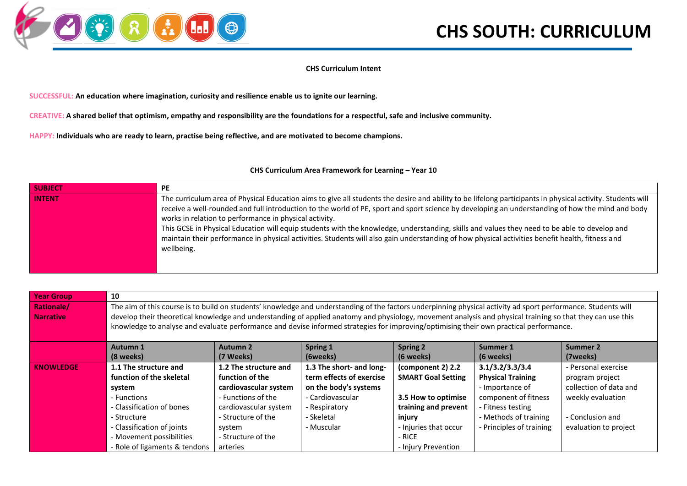

## **CHS Curriculum Intent**

**SUCCESSFUL: An education where imagination, curiosity and resilience enable us to ignite our learning.** 

**CREATIVE: A shared belief that optimism, empathy and responsibility are the foundations for a respectful, safe and inclusive community.**

**HAPPY: Individuals who are ready to learn, practise being reflective, and are motivated to become champions.**

## **CHS Curriculum Area Framework for Learning – Year 10**

| <b>SUBJECT</b> | PE                                                                                                                                                         |
|----------------|------------------------------------------------------------------------------------------------------------------------------------------------------------|
| <b>INTENT</b>  | The curriculum area of Physical Education aims to give all students the desire and ability to be lifelong participants in physical activity. Students will |
|                | receive a well-rounded and full introduction to the world of PE, sport and sport science by developing an understanding of how the mind and body           |
|                | works in relation to performance in physical activity.                                                                                                     |
|                | This GCSE in Physical Education will equip students with the knowledge, understanding, skills and values they need to be able to develop and               |
|                | maintain their performance in physical activities. Students will also gain understanding of how physical activities benefit health, fitness and            |
|                | wellbeing.                                                                                                                                                 |
|                |                                                                                                                                                            |
|                |                                                                                                                                                            |

| <b>Year Group</b> | 10                                                                                                                                                            |                       |                          |                           |                          |                        |
|-------------------|---------------------------------------------------------------------------------------------------------------------------------------------------------------|-----------------------|--------------------------|---------------------------|--------------------------|------------------------|
| Rationale/        | The aim of this course is to build on students' knowledge and understanding of the factors underpinning physical activity ad sport performance. Students will |                       |                          |                           |                          |                        |
| <b>Narrative</b>  | develop their theoretical knowledge and understanding of applied anatomy and physiology, movement analysis and physical training so that they can use this    |                       |                          |                           |                          |                        |
|                   | knowledge to analyse and evaluate performance and devise informed strategies for improving/optimising their own practical performance.                        |                       |                          |                           |                          |                        |
|                   |                                                                                                                                                               |                       |                          |                           |                          |                        |
|                   | Autumn 1                                                                                                                                                      | <b>Autumn 2</b>       | Spring 1                 | <b>Spring 2</b>           | Summer 1                 | <b>Summer 2</b>        |
|                   | (8 weeks)                                                                                                                                                     | (7 Weeks)             | (6weeks)                 | (6 weeks)                 | (6 weeks)                | (7weeks)               |
| <b>KNOWLEDGE</b>  | 1.1 The structure and                                                                                                                                         | 1.2 The structure and | 1.3 The short- and long- | (component 2) 2.2         | 3.1/3.2/3.3/3.4          | - Personal exercise    |
|                   | function of the skeletal                                                                                                                                      | function of the       | term effects of exercise | <b>SMART Goal Setting</b> | <b>Physical Training</b> | program project        |
|                   | system                                                                                                                                                        | cardiovascular system | on the body's systems    |                           | - Importance of          | collection of data and |
|                   | - Functions                                                                                                                                                   | - Functions of the    | - Cardiovascular         | 3.5 How to optimise       | component of fitness     | weekly evaluation      |
|                   | - Classification of bones                                                                                                                                     | cardiovascular system | - Respiratory            | training and prevent      | - Fitness testing        |                        |
|                   | - Structure                                                                                                                                                   | - Structure of the    | - Skeletal               | injury                    | - Methods of training    | - Conclusion and       |
|                   | - Classification of joints                                                                                                                                    | system                | - Muscular               | - Injuries that occur     | - Principles of training | evaluation to project  |
|                   | - Movement possibilities                                                                                                                                      | - Structure of the    |                          | - RICE                    |                          |                        |
|                   | - Role of ligaments & tendons                                                                                                                                 | arteries              |                          | - Injury Prevention       |                          |                        |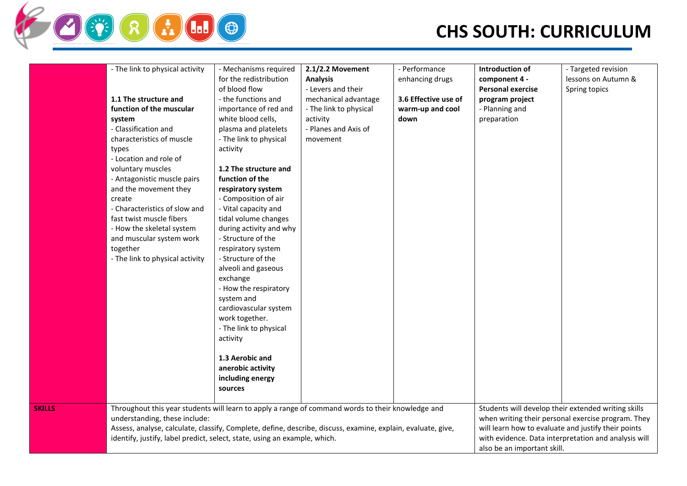

## **CHS SOUTH: CURRICULUM**

|               | - The link to physical activity<br>1.1 The structure and<br>function of the muscular<br>system<br>- Classification and<br>characteristics of muscle<br>types<br>- Location and role of<br>voluntary muscles<br>- Antagonistic muscle pairs<br>and the movement they<br>create<br>- Characteristics of slow and<br>fast twist muscle fibers<br>- How the skeletal system<br>and muscular system work<br>together<br>- The link to physical activity | - Mechanisms required<br>for the redistribution<br>of blood flow<br>- the functions and<br>importance of red and<br>white blood cells,<br>plasma and platelets<br>- The link to physical<br>activity<br>1.2 The structure and<br>function of the<br>respiratory system<br>- Composition of air<br>- Vital capacity and<br>tidal volume changes<br>during activity and why<br>- Structure of the<br>respiratory system<br>- Structure of the<br>alveoli and gaseous<br>exchange<br>- How the respiratory<br>system and<br>cardiovascular system<br>work together.<br>- The link to physical<br>activity<br>1.3 Aerobic and<br>anerobic activity<br>including energy | $2.1/2.2$ Movement<br><b>Analysis</b><br>- Levers and their<br>mechanical advantage<br>- The link to physical<br>activity<br>- Planes and Axis of<br>movement | - Performance<br>enhancing drugs<br>3.6 Effective use of<br>warm-up and cool<br>down | Introduction of<br>component 4 -<br><b>Personal exercise</b><br>program project<br>- Planning and<br>preparation | - Targeted revision<br>lessons on Autumn &<br>Spring topics                                                                                                                                                              |
|---------------|----------------------------------------------------------------------------------------------------------------------------------------------------------------------------------------------------------------------------------------------------------------------------------------------------------------------------------------------------------------------------------------------------------------------------------------------------|--------------------------------------------------------------------------------------------------------------------------------------------------------------------------------------------------------------------------------------------------------------------------------------------------------------------------------------------------------------------------------------------------------------------------------------------------------------------------------------------------------------------------------------------------------------------------------------------------------------------------------------------------------------------|---------------------------------------------------------------------------------------------------------------------------------------------------------------|--------------------------------------------------------------------------------------|------------------------------------------------------------------------------------------------------------------|--------------------------------------------------------------------------------------------------------------------------------------------------------------------------------------------------------------------------|
| <b>SKILLS</b> | sources<br>Throughout this year students will learn to apply a range of command words to their knowledge and<br>understanding, these include:<br>Assess, analyse, calculate, classify, Complete, define, describe, discuss, examine, explain, evaluate, give,<br>identify, justify, label predict, select, state, using an example, which.                                                                                                         |                                                                                                                                                                                                                                                                                                                                                                                                                                                                                                                                                                                                                                                                    |                                                                                                                                                               |                                                                                      |                                                                                                                  | Students will develop their extended writing skills<br>when writing their personal exercise program. They<br>will learn how to evaluate and justify their points<br>with evidence. Data interpretation and analysis will |
|               |                                                                                                                                                                                                                                                                                                                                                                                                                                                    |                                                                                                                                                                                                                                                                                                                                                                                                                                                                                                                                                                                                                                                                    | also be an important skill.                                                                                                                                   |                                                                                      |                                                                                                                  |                                                                                                                                                                                                                          |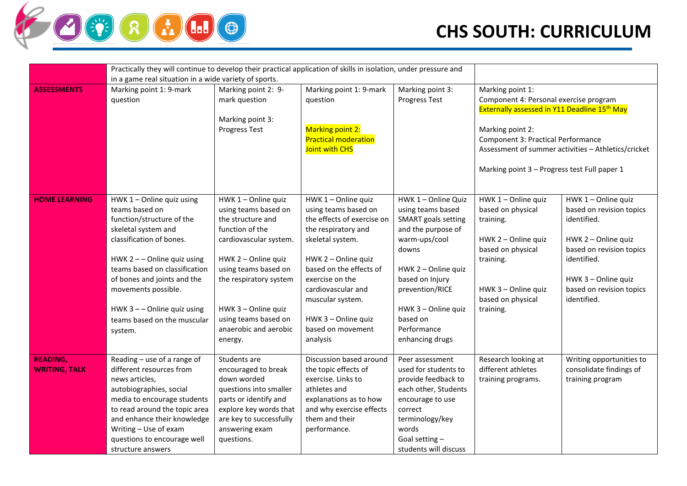

|                                         | Practically they will continue to develop their practical application of skills in isolation, under pressure and                                                                                                                                                                                                                 |                                                                                                                                                                                                                                                                           |                                                                                                                                                                                                                                                                                             |                                                                                                                                                                                                                                                          |                                                                                                                                                                                                                                                                                                |                                                                                                                                                                                                    |
|-----------------------------------------|----------------------------------------------------------------------------------------------------------------------------------------------------------------------------------------------------------------------------------------------------------------------------------------------------------------------------------|---------------------------------------------------------------------------------------------------------------------------------------------------------------------------------------------------------------------------------------------------------------------------|---------------------------------------------------------------------------------------------------------------------------------------------------------------------------------------------------------------------------------------------------------------------------------------------|----------------------------------------------------------------------------------------------------------------------------------------------------------------------------------------------------------------------------------------------------------|------------------------------------------------------------------------------------------------------------------------------------------------------------------------------------------------------------------------------------------------------------------------------------------------|----------------------------------------------------------------------------------------------------------------------------------------------------------------------------------------------------|
|                                         | in a game real situation in a wide variety of sports.                                                                                                                                                                                                                                                                            |                                                                                                                                                                                                                                                                           |                                                                                                                                                                                                                                                                                             |                                                                                                                                                                                                                                                          |                                                                                                                                                                                                                                                                                                |                                                                                                                                                                                                    |
| <b>ASSESSMENTS</b>                      | Marking point 1: 9-mark<br>question                                                                                                                                                                                                                                                                                              | Marking point 2: 9-<br>mark question<br>Marking point 3:<br>Progress Test                                                                                                                                                                                                 | Marking point 1: 9-mark<br>question<br>Marking point 2:<br><b>Practical moderation</b><br>Joint with CHS                                                                                                                                                                                    | Marking point 3:<br><b>Progress Test</b>                                                                                                                                                                                                                 | Marking point 1:<br>Component 4: Personal exercise program<br>Externally assessed in Y11 Deadline 15 <sup>th</sup> May<br>Marking point 2:<br><b>Component 3: Practical Performance</b><br>Assessment of summer activities - Athletics/cricket<br>Marking point 3 - Progress test Full paper 1 |                                                                                                                                                                                                    |
| <b>HOME LEARNING</b>                    | HWK 1-Online quiz using<br>teams based on<br>function/structure of the<br>skeletal system and<br>classification of bones.<br>HWK $2$ – $-$ Online quiz using<br>teams based on classification<br>of bones and joints and the<br>movements possible.<br>HWK $3$ – $-$ Online quiz using<br>teams based on the muscular<br>system. | HWK 1 - Online quiz<br>using teams based on<br>the structure and<br>function of the<br>cardiovascular system.<br>HWK 2 - Online quiz<br>using teams based on<br>the respiratory system<br>HWK 3 - Online quiz<br>using teams based on<br>anaerobic and aerobic<br>energy. | HWK 1 - Online quiz<br>using teams based on<br>the effects of exercise on<br>the respiratory and<br>skeletal system.<br>HWK 2 - Online quiz<br>based on the effects of<br>exercise on the<br>cardiovascular and<br>muscular system.<br>HWK 3 - Online quiz<br>based on movement<br>analysis | HWK 1 - Online Quiz<br>using teams based<br><b>SMART</b> goals setting<br>and the purpose of<br>warm-ups/cool<br>downs<br>HWK 2 - Online quiz<br>based on Injury<br>prevention/RICE<br>HWK 3 - Online quiz<br>based on<br>Performance<br>enhancing drugs | HWK 1 - Online quiz<br>based on physical<br>training.<br>HWK 2 - Online quiz<br>based on physical<br>training.<br>HWK 3 - Online quiz<br>based on physical<br>training.                                                                                                                        | HWK 1 - Online quiz<br>based on revision topics<br>identified.<br>HWK 2 - Online quiz<br>based on revision topics<br>identified.<br>HWK 3 - Online quiz<br>based on revision topics<br>identified. |
| <b>READING,</b><br><b>WRITING, TALK</b> | Reading - use of a range of<br>different resources from<br>news articles,<br>autobiographies, social<br>media to encourage students<br>to read around the topic area<br>and enhance their knowledge<br>Writing - Use of exam<br>questions to encourage well<br>structure answers                                                 | Students are<br>encouraged to break<br>down worded<br>questions into smaller<br>parts or identify and<br>explore key words that<br>are key to successfully<br>answering exam<br>questions.                                                                                | Discussion based around<br>the topic effects of<br>exercise. Links to<br>athletes and<br>explanations as to how<br>and why exercise effects<br>them and their<br>performance.                                                                                                               | Peer assessment<br>used for students to<br>provide feedback to<br>each other, Students<br>encourage to use<br>correct<br>terminology/key<br>words<br>Goal setting -<br>students will discuss                                                             | Research looking at<br>different athletes<br>training programs.                                                                                                                                                                                                                                | Writing opportunities to<br>consolidate findings of<br>training program                                                                                                                            |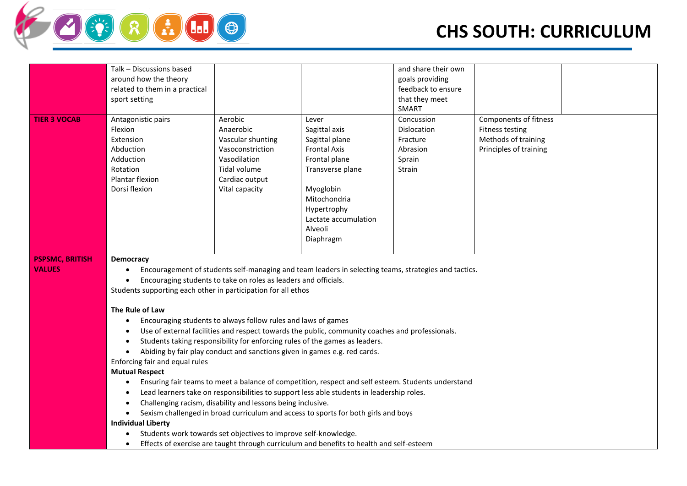

|                        | Talk - Discussions based                                                                                                         |                                                             |                                                                                                      | and share their own |                        |  |  |  |
|------------------------|----------------------------------------------------------------------------------------------------------------------------------|-------------------------------------------------------------|------------------------------------------------------------------------------------------------------|---------------------|------------------------|--|--|--|
|                        | around how the theory                                                                                                            |                                                             |                                                                                                      | goals providing     |                        |  |  |  |
|                        | related to them in a practical                                                                                                   |                                                             |                                                                                                      | feedback to ensure  |                        |  |  |  |
|                        | sport setting                                                                                                                    |                                                             |                                                                                                      | that they meet      |                        |  |  |  |
|                        |                                                                                                                                  |                                                             |                                                                                                      | SMART               |                        |  |  |  |
| <b>TIER 3 VOCAB</b>    | Antagonistic pairs                                                                                                               | Aerobic                                                     | Lever                                                                                                | Concussion          | Components of fitness  |  |  |  |
|                        | Flexion                                                                                                                          | Anaerobic                                                   | Sagittal axis                                                                                        | Dislocation         | <b>Fitness testing</b> |  |  |  |
|                        | Extension                                                                                                                        | Vascular shunting                                           | Sagittal plane                                                                                       | Fracture            | Methods of training    |  |  |  |
|                        | Abduction                                                                                                                        | Vasoconstriction                                            | <b>Frontal Axis</b>                                                                                  | Abrasion            | Principles of training |  |  |  |
|                        | Adduction                                                                                                                        | Vasodilation                                                | Frontal plane                                                                                        | Sprain              |                        |  |  |  |
|                        | Rotation                                                                                                                         | Tidal volume                                                | Transverse plane                                                                                     | Strain              |                        |  |  |  |
|                        | Plantar flexion                                                                                                                  | Cardiac output                                              |                                                                                                      |                     |                        |  |  |  |
|                        | Dorsi flexion                                                                                                                    | Vital capacity                                              | Myoglobin                                                                                            |                     |                        |  |  |  |
|                        |                                                                                                                                  |                                                             | Mitochondria                                                                                         |                     |                        |  |  |  |
|                        |                                                                                                                                  |                                                             | Hypertrophy                                                                                          |                     |                        |  |  |  |
|                        |                                                                                                                                  |                                                             | Lactate accumulation                                                                                 |                     |                        |  |  |  |
|                        |                                                                                                                                  |                                                             |                                                                                                      |                     |                        |  |  |  |
|                        |                                                                                                                                  |                                                             | Alveoli                                                                                              |                     |                        |  |  |  |
|                        |                                                                                                                                  |                                                             | Diaphragm                                                                                            |                     |                        |  |  |  |
| <b>PSPSMC, BRITISH</b> |                                                                                                                                  |                                                             |                                                                                                      |                     |                        |  |  |  |
| <b>VALUES</b>          | <b>Democracy</b>                                                                                                                 |                                                             |                                                                                                      |                     |                        |  |  |  |
|                        |                                                                                                                                  |                                                             | Encouragement of students self-managing and team leaders in selecting teams, strategies and tactics. |                     |                        |  |  |  |
|                        | Encouraging students to take on roles as leaders and officials.<br>Students supporting each other in participation for all ethos |                                                             |                                                                                                      |                     |                        |  |  |  |
|                        |                                                                                                                                  |                                                             |                                                                                                      |                     |                        |  |  |  |
|                        | The Rule of Law                                                                                                                  |                                                             |                                                                                                      |                     |                        |  |  |  |
|                        | Encouraging students to always follow rules and laws of games                                                                    |                                                             |                                                                                                      |                     |                        |  |  |  |
|                        | $\bullet$<br>$\bullet$                                                                                                           |                                                             | Use of external facilities and respect towards the public, community coaches and professionals.      |                     |                        |  |  |  |
|                        |                                                                                                                                  |                                                             | Students taking responsibility for enforcing rules of the games as leaders.                          |                     |                        |  |  |  |
|                        |                                                                                                                                  |                                                             |                                                                                                      |                     |                        |  |  |  |
|                        | Abiding by fair play conduct and sanctions given in games e.g. red cards.                                                        |                                                             |                                                                                                      |                     |                        |  |  |  |
|                        | Enforcing fair and equal rules                                                                                                   |                                                             |                                                                                                      |                     |                        |  |  |  |
|                        | <b>Mutual Respect</b><br>Ensuring fair teams to meet a balance of competition, respect and self esteem. Students understand      |                                                             |                                                                                                      |                     |                        |  |  |  |
|                        | $\bullet$                                                                                                                        |                                                             |                                                                                                      |                     |                        |  |  |  |
|                        | $\bullet$                                                                                                                        |                                                             | Lead learners take on responsibilities to support less able students in leadership roles.            |                     |                        |  |  |  |
|                        |                                                                                                                                  | Challenging racism, disability and lessons being inclusive. |                                                                                                      |                     |                        |  |  |  |
|                        |                                                                                                                                  |                                                             | Sexism challenged in broad curriculum and access to sports for both girls and boys                   |                     |                        |  |  |  |
|                        | <b>Individual Liberty</b>                                                                                                        |                                                             |                                                                                                      |                     |                        |  |  |  |
|                        | Students work towards set objectives to improve self-knowledge.                                                                  |                                                             |                                                                                                      |                     |                        |  |  |  |
|                        |                                                                                                                                  |                                                             | Effects of exercise are taught through curriculum and benefits to health and self-esteem             |                     |                        |  |  |  |